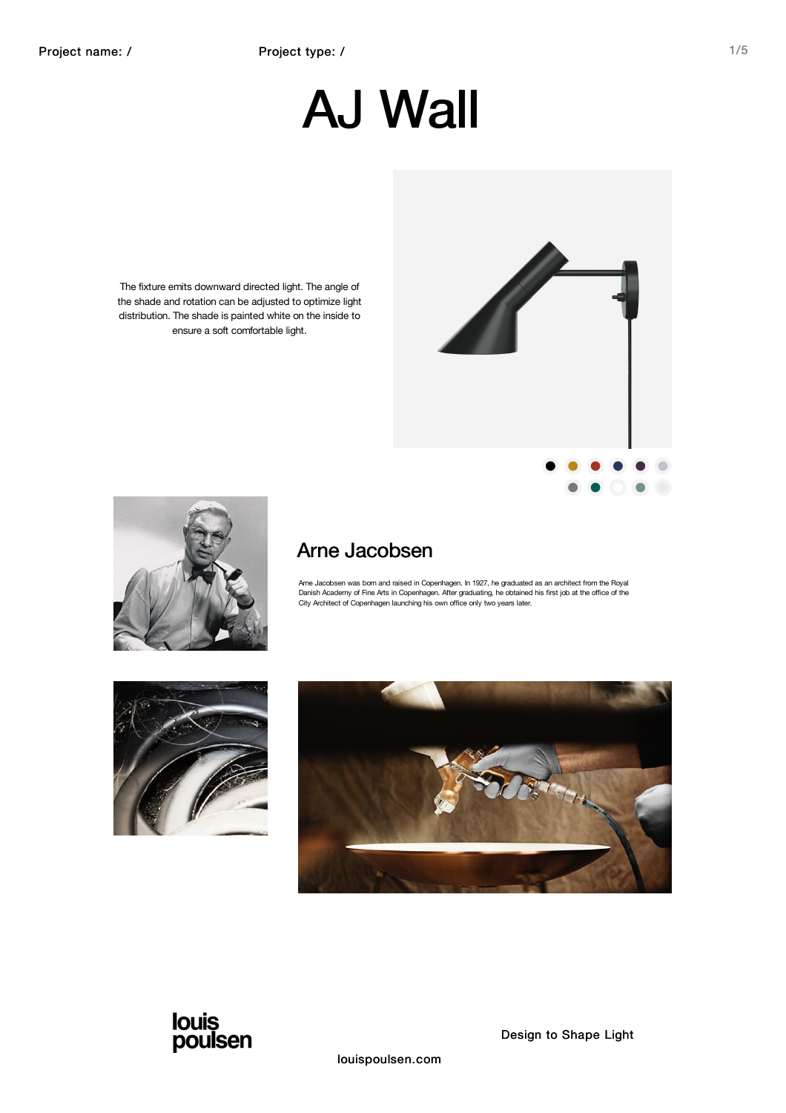# AJ Wall

The fixture emits downward directed light. The angle of the shade and rotation can be adjusted to optimize light distribution. The shade is painted white on the inside to ensure a soft comfortable light.



### Arne Jacobsen

Ame Jacobsen was bom and raised in Copenhagen. In 1927, he graduated as an architect from the Royal<br>Danish Academy of Fine Arts in Copenhagen. After graduating, he obtained his first job at the office of the<br>City Architect







 $\bullet$   $\bullet$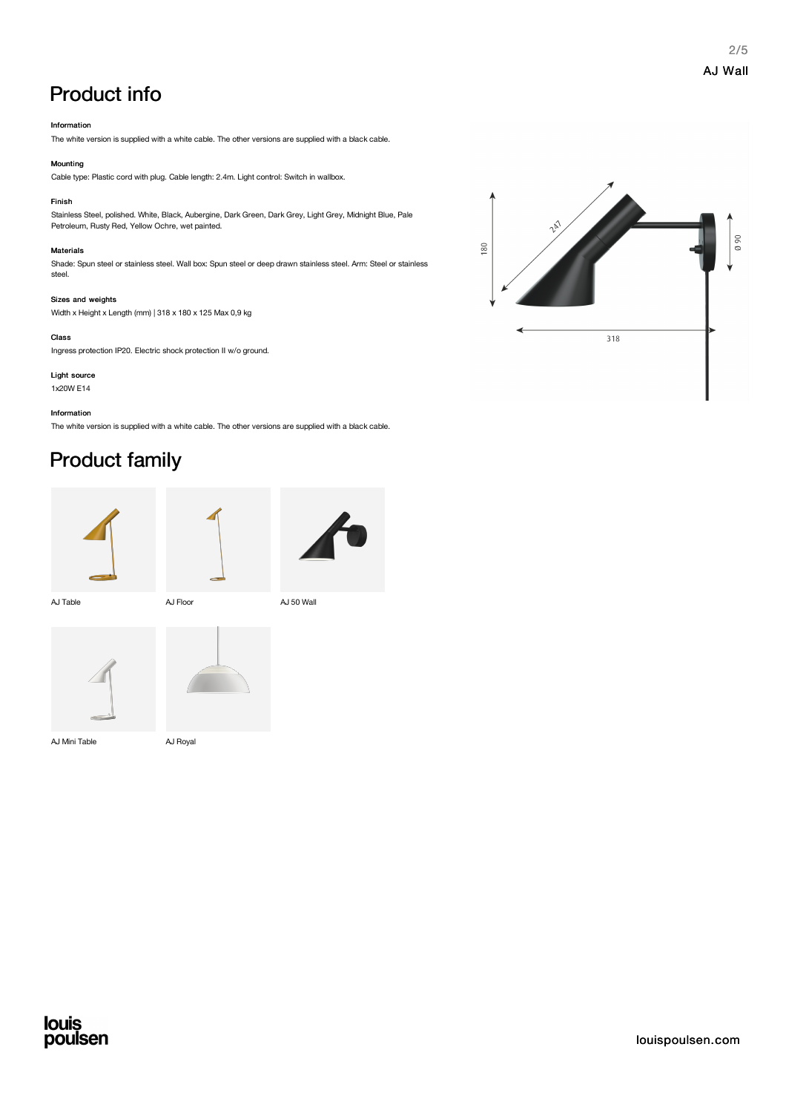## Product info

#### Information

The white version is supplied with a white cable. The other versions are supplied with a black cable.

#### Mounting

Cable type: Plastic cord with plug. Cable length: 2.4m. Light control: Switch in wallbox.

#### Finish

Stainless Steel, polished. White, Black, Aubergine, Dark Green, Dark Grey, Light Grey, Midnight Blue, Pale Petroleum, Rusty Red, Yellow Ochre, wet painted.

#### Materials

Shade: Spun steel or stainless steel. Wall box: Spun steel or deep drawn stainless steel. Arm: Steel or stainless steel.

#### Sizes and weights

Width x Height x Length (mm) | 318 x 180 x 125 Max 0,9 kg

#### Class

Ingress protection IP20. Electric shock protection II w/o ground.

Light source 1x20W E14

Information

The white version is supplied with a white cable. The other versions are supplied with a black cable.

## Product family







AJ Table **AJ Floor AJ Floor AJ 50 Wall** 





AJ Mini Table AJ Royal



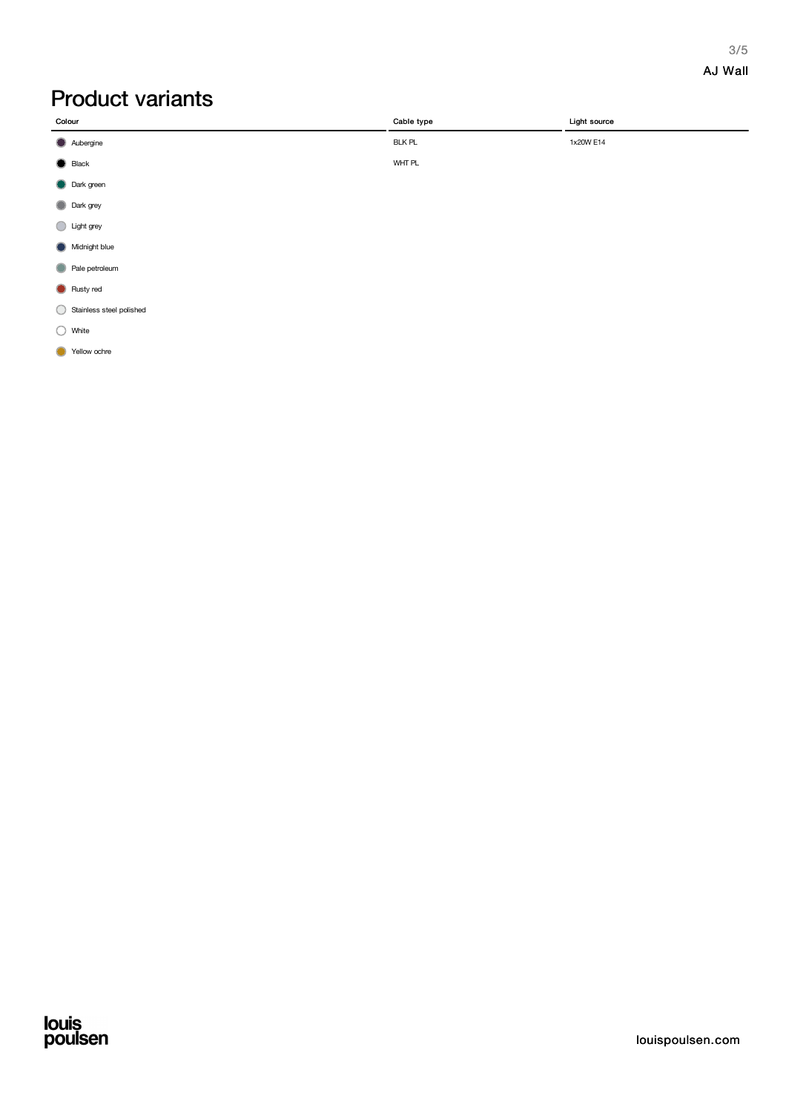#### 3/5 AJ Wall

## Product variants

| Colour           | Cable type    | Light source |
|------------------|---------------|--------------|
| Aubergine        | <b>BLK PL</b> | 1x20W E14    |
| $\bigcirc$ Black | WHT PL        |              |
| Dark green       |               |              |
| Dark grey        |               |              |
| Light grey       |               |              |
| Midnight blue    |               |              |
| Pale petroleum   |               |              |

**C** Rusty red

Stainless steel polished

◯ White

Yellow ochre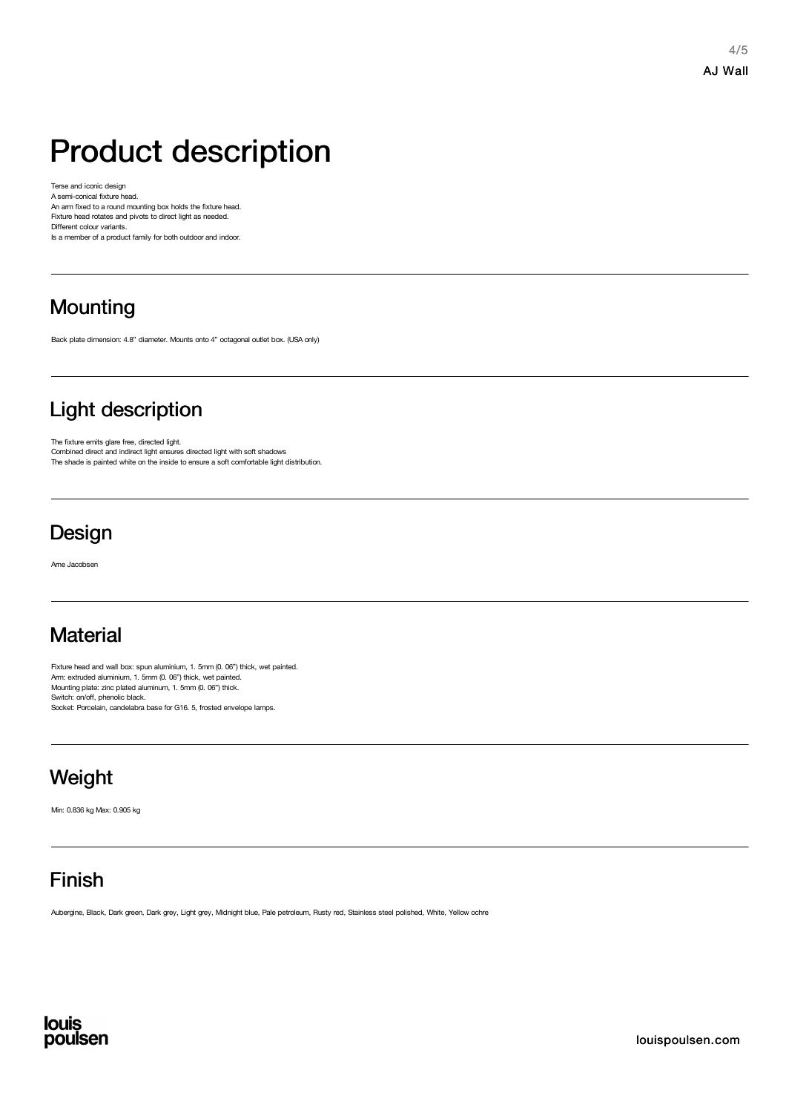4/5 AJ Wall

## Product description

Terse and iconic design A semi-conical fixture head. An arm fixed to a round mounting box holds the fixture head. Fixture head rotates and pivots to direct light as needed. Different colour variants.

Is a member of a product family for both outdoor and indoor.

## **Mounting**

Back plate dimension: 4.8" diameter. Mounts onto 4" octagonal outlet box. (USA only)

## Light description

The fixture emits glare free, directed light. Combined direct and indirect light ensures directed light with soft shadows The shade is painted white on the inside to ensure a soft comfortable light distribution.

## **Design**

Arne Jacobsen

## **Material**

Fixture head and wall box: spun aluminium, 1. 5mm (0. 06") thick, wet painted. Arm: extruded aluminium, 1. 5mm (0. 06") thick, wet painted.<br>Mounting plate: zinc plated aluminum, 1. 5mm (0. 06") thick. Switch: on/off, phenolic black. Socket: Porcelain, candelabra base for G16. 5, frosted envelope lamps.

## **Weight**

Min: 0.836 kg Max: 0.905 kg

## Finish

Aubergine, Black, Dark green, Dark grey, Light grey, Midnight blue, Pale petroleum, Rusty red, Stainless steel polished, White, Yellow ochre